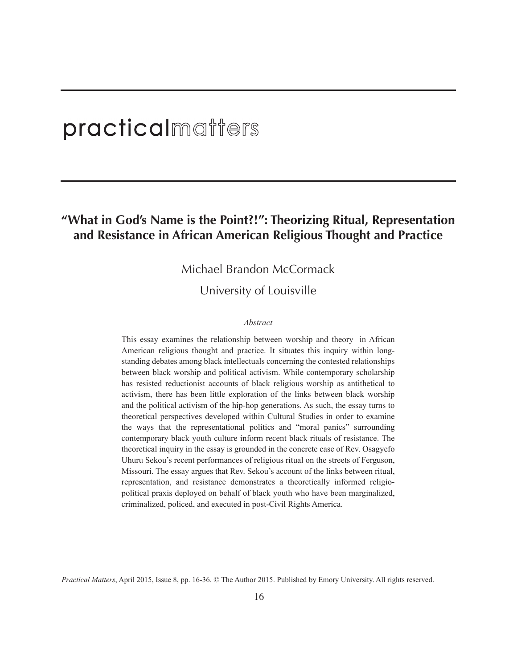# practicalmatters

## **"What in God's Name is the Point?!": Theorizing Ritual, Representation and Resistance in African American Religious Thought and Practice**

### Michael Brandon McCormack

University of Louisville

#### *Abstract*

This essay examines the relationship between worship and theory in African American religious thought and practice. It situates this inquiry within longstanding debates among black intellectuals concerning the contested relationships between black worship and political activism. While contemporary scholarship has resisted reductionist accounts of black religious worship as antithetical to activism, there has been little exploration of the links between black worship and the political activism of the hip-hop generations. As such, the essay turns to theoretical perspectives developed within Cultural Studies in order to examine the ways that the representational politics and "moral panics" surrounding contemporary black youth culture inform recent black rituals of resistance. The theoretical inquiry in the essay is grounded in the concrete case of Rev. Osagyefo Uhuru Sekou's recent performances of religious ritual on the streets of Ferguson, Missouri. The essay argues that Rev. Sekou's account of the links between ritual, representation, and resistance demonstrates a theoretically informed religiopolitical praxis deployed on behalf of black youth who have been marginalized, criminalized, policed, and executed in post-Civil Rights America.

*Practical Matters*, April 2015, Issue 8, pp. 16-36. © The Author 2015. Published by Emory University. All rights reserved.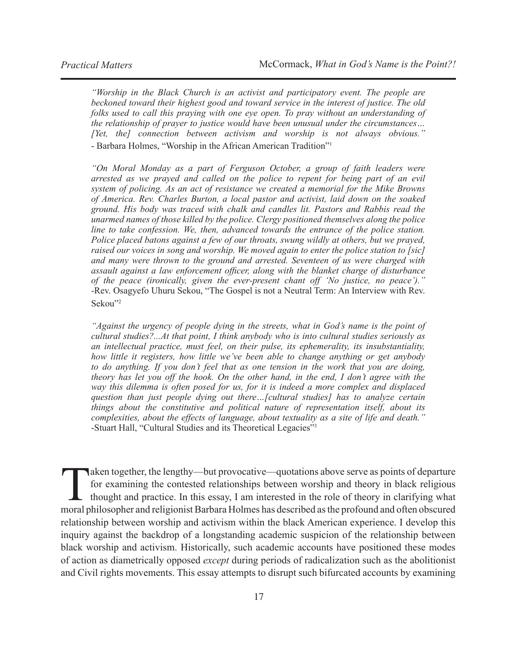*"Worship in the Black Church is an activist and participatory event. The people are beckoned toward their highest good and toward service in the interest of justice. The old folks used to call this praying with one eye open. To pray without an understanding of the relationship of prayer to justice would have been unusual under the circumstances… [Yet, the] connection between activism and worship is not always obvious."* - Barbara Holmes, "Worship in the African American Tradition"1

*"On Moral Monday as a part of Ferguson October, a group of faith leaders were arrested as we prayed and called on the police to repent for being part of an evil system of policing. As an act of resistance we created a memorial for the Mike Browns of America. Rev. Charles Burton, a local pastor and activist, laid down on the soaked ground. His body was traced with chalk and candles lit. Pastors and Rabbis read the unarmed names of those killed by the police. Clergy positioned themselves along the police line to take confession. We, then, advanced towards the entrance of the police station. Police placed batons against a few of our throats, swung wildly at others, but we prayed, raised our voices in song and worship. We moved again to enter the police station to [sic] and many were thrown to the ground and arrested. Seventeen of us were charged with assault against a law enforcement officer, along with the blanket charge of disturbance of the peace (ironically, given the ever-present chant off 'No justice, no peace')."*  -Rev. Osagyefo Uhuru Sekou, "The Gospel is not a Neutral Term: An Interview with Rev. Sekou"2

*"Against the urgency of people dying in the streets, what in God's name is the point of cultural studies?...At that point, I think anybody who is into cultural studies seriously as an intellectual practice, must feel, on their pulse, its ephemerality, its insubstantiality, how little it registers, how little we've been able to change anything or get anybody to do anything. If you don't feel that as one tension in the work that you are doing, theory has let you off the hook. On the other hand, in the end, I don't agree with the way this dilemma is often posed for us, for it is indeed a more complex and displaced question than just people dying out there…[cultural studies] has to analyze certain things about the constitutive and political nature of representation itself, about its complexities, about the effects of language, about textuality as a site of life and death."* -Stuart Hall, "Cultural Studies and its Theoretical Legacies"3

Taken together, the lengthy—but provocative—quotations above serve as points of departure<br>for examining the contested relationships between worship and theory in black religious<br>thought and practice. In this essay, I am in for examining the contested relationships between worship and theory in black religious thought and practice. In this essay, I am interested in the role of theory in clarifying what moral philosopher and religionist Barbara Holmes has described as the profound and often obscured relationship between worship and activism within the black American experience. I develop this inquiry against the backdrop of a longstanding academic suspicion of the relationship between black worship and activism. Historically, such academic accounts have positioned these modes of action as diametrically opposed *except* during periods of radicalization such as the abolitionist and Civil rights movements. This essay attempts to disrupt such bifurcated accounts by examining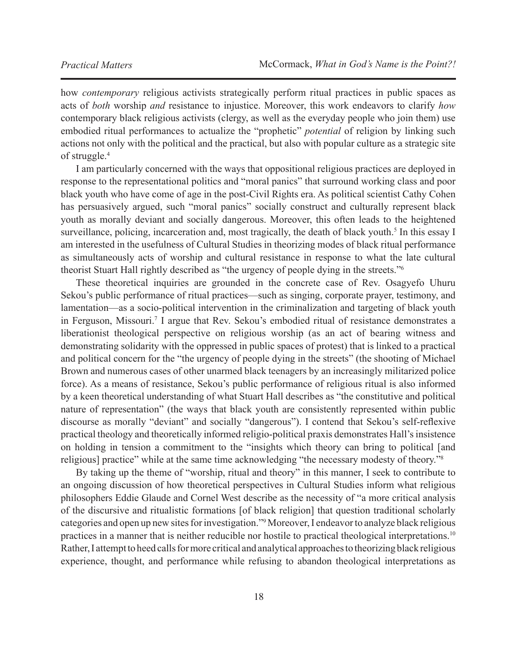how *contemporary* religious activists strategically perform ritual practices in public spaces as acts of *both* worship *and* resistance to injustice. Moreover, this work endeavors to clarify *how* contemporary black religious activists (clergy, as well as the everyday people who join them) use embodied ritual performances to actualize the "prophetic" *potential* of religion by linking such actions not only with the political and the practical, but also with popular culture as a strategic site of struggle.4

I am particularly concerned with the ways that oppositional religious practices are deployed in response to the representational politics and "moral panics" that surround working class and poor black youth who have come of age in the post-Civil Rights era. As political scientist Cathy Cohen has persuasively argued, such "moral panics" socially construct and culturally represent black youth as morally deviant and socially dangerous. Moreover, this often leads to the heightened surveillance, policing, incarceration and, most tragically, the death of black youth.<sup>5</sup> In this essay I am interested in the usefulness of Cultural Studies in theorizing modes of black ritual performance as simultaneously acts of worship and cultural resistance in response to what the late cultural theorist Stuart Hall rightly described as "the urgency of people dying in the streets."6

These theoretical inquiries are grounded in the concrete case of Rev. Osagyefo Uhuru Sekou's public performance of ritual practices—such as singing, corporate prayer, testimony, and lamentation—as a socio-political intervention in the criminalization and targeting of black youth in Ferguson, Missouri.7 I argue that Rev. Sekou's embodied ritual of resistance demonstrates a liberationist theological perspective on religious worship (as an act of bearing witness and demonstrating solidarity with the oppressed in public spaces of protest) that is linked to a practical and political concern for the "the urgency of people dying in the streets" (the shooting of Michael Brown and numerous cases of other unarmed black teenagers by an increasingly militarized police force). As a means of resistance, Sekou's public performance of religious ritual is also informed by a keen theoretical understanding of what Stuart Hall describes as "the constitutive and political nature of representation" (the ways that black youth are consistently represented within public discourse as morally "deviant" and socially "dangerous"). I contend that Sekou's self-reflexive practical theology and theoretically informed religio-political praxis demonstrates Hall's insistence on holding in tension a commitment to the "insights which theory can bring to political [and religious] practice" while at the same time acknowledging "the necessary modesty of theory."8

By taking up the theme of "worship, ritual and theory" in this manner, I seek to contribute to an ongoing discussion of how theoretical perspectives in Cultural Studies inform what religious philosophers Eddie Glaude and Cornel West describe as the necessity of "a more critical analysis of the discursive and ritualistic formations [of black religion] that question traditional scholarly categories and open up new sites for investigation."9 Moreover, I endeavor to analyze black religious practices in a manner that is neither reducible nor hostile to practical theological interpretations.<sup>10</sup> Rather, I attempt to heed calls for more critical and analytical approaches to theorizing black religious experience, thought, and performance while refusing to abandon theological interpretations as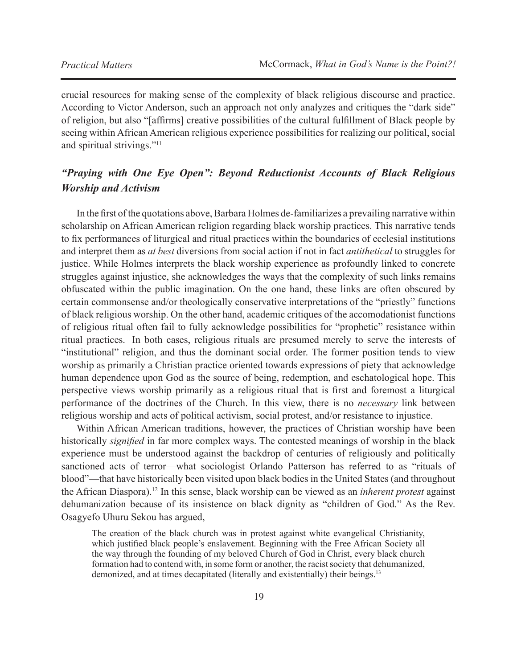crucial resources for making sense of the complexity of black religious discourse and practice. According to Victor Anderson, such an approach not only analyzes and critiques the "dark side" of religion, but also "[affirms] creative possibilities of the cultural fulfillment of Black people by seeing within African American religious experience possibilities for realizing our political, social and spiritual strivings."11

## *"Praying with One Eye Open": Beyond Reductionist Accounts of Black Religious Worship and Activism*

In the first of the quotations above, Barbara Holmes de-familiarizes a prevailing narrative within scholarship on African American religion regarding black worship practices. This narrative tends to fix performances of liturgical and ritual practices within the boundaries of ecclesial institutions and interpret them as *at best* diversions from social action if not in fact *antithetical* to struggles for justice. While Holmes interprets the black worship experience as profoundly linked to concrete struggles against injustice, she acknowledges the ways that the complexity of such links remains obfuscated within the public imagination. On the one hand, these links are often obscured by certain commonsense and/or theologically conservative interpretations of the "priestly" functions of black religious worship. On the other hand, academic critiques of the accomodationist functions of religious ritual often fail to fully acknowledge possibilities for "prophetic" resistance within ritual practices. In both cases, religious rituals are presumed merely to serve the interests of "institutional" religion, and thus the dominant social order. The former position tends to view worship as primarily a Christian practice oriented towards expressions of piety that acknowledge human dependence upon God as the source of being, redemption, and eschatological hope. This perspective views worship primarily as a religious ritual that is first and foremost a liturgical performance of the doctrines of the Church. In this view, there is no *necessary* link between religious worship and acts of political activism, social protest, and/or resistance to injustice.

Within African American traditions, however, the practices of Christian worship have been historically *signified* in far more complex ways. The contested meanings of worship in the black experience must be understood against the backdrop of centuries of religiously and politically sanctioned acts of terror—what sociologist Orlando Patterson has referred to as "rituals of blood"—that have historically been visited upon black bodies in the United States (and throughout the African Diaspora).12 In this sense, black worship can be viewed as an *inherent protest* against dehumanization because of its insistence on black dignity as "children of God." As the Rev. Osagyefo Uhuru Sekou has argued,

The creation of the black church was in protest against white evangelical Christianity, which justified black people's enslavement. Beginning with the Free African Society all the way through the founding of my beloved Church of God in Christ, every black church formation had to contend with, in some form or another, the racist society that dehumanized, demonized, and at times decapitated (literally and existentially) their beings.<sup>13</sup>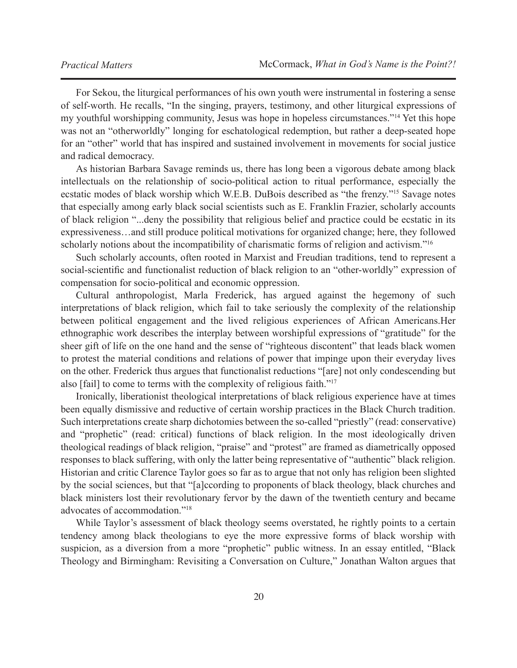For Sekou, the liturgical performances of his own youth were instrumental in fostering a sense of self-worth. He recalls, "In the singing, prayers, testimony, and other liturgical expressions of my youthful worshipping community, Jesus was hope in hopeless circumstances."14 Yet this hope was not an "otherworldly" longing for eschatological redemption, but rather a deep-seated hope for an "other" world that has inspired and sustained involvement in movements for social justice and radical democracy.

As historian Barbara Savage reminds us, there has long been a vigorous debate among black intellectuals on the relationship of socio-political action to ritual performance, especially the ecstatic modes of black worship which W.E.B. DuBois described as "the frenzy."15 Savage notes that especially among early black social scientists such as E. Franklin Frazier, scholarly accounts of black religion "...deny the possibility that religious belief and practice could be ecstatic in its expressiveness…and still produce political motivations for organized change; here, they followed scholarly notions about the incompatibility of charismatic forms of religion and activism."<sup>16</sup>

Such scholarly accounts, often rooted in Marxist and Freudian traditions, tend to represent a social-scientific and functionalist reduction of black religion to an "other-worldly" expression of compensation for socio-political and economic oppression.

Cultural anthropologist, Marla Frederick, has argued against the hegemony of such interpretations of black religion, which fail to take seriously the complexity of the relationship between political engagement and the lived religious experiences of African Americans.Her ethnographic work describes the interplay between worshipful expressions of "gratitude" for the sheer gift of life on the one hand and the sense of "righteous discontent" that leads black women to protest the material conditions and relations of power that impinge upon their everyday lives on the other. Frederick thus argues that functionalist reductions "[are] not only condescending but also [fail] to come to terms with the complexity of religious faith."17

Ironically, liberationist theological interpretations of black religious experience have at times been equally dismissive and reductive of certain worship practices in the Black Church tradition. Such interpretations create sharp dichotomies between the so-called "priestly" (read: conservative) and "prophetic" (read: critical) functions of black religion. In the most ideologically driven theological readings of black religion, "praise" and "protest" are framed as diametrically opposed responses to black suffering, with only the latter being representative of "authentic" black religion. Historian and critic Clarence Taylor goes so far as to argue that not only has religion been slighted by the social sciences, but that "[a]ccording to proponents of black theology, black churches and black ministers lost their revolutionary fervor by the dawn of the twentieth century and became advocates of accommodation."18

While Taylor's assessment of black theology seems overstated, he rightly points to a certain tendency among black theologians to eye the more expressive forms of black worship with suspicion, as a diversion from a more "prophetic" public witness. In an essay entitled, "Black Theology and Birmingham: Revisiting a Conversation on Culture," Jonathan Walton argues that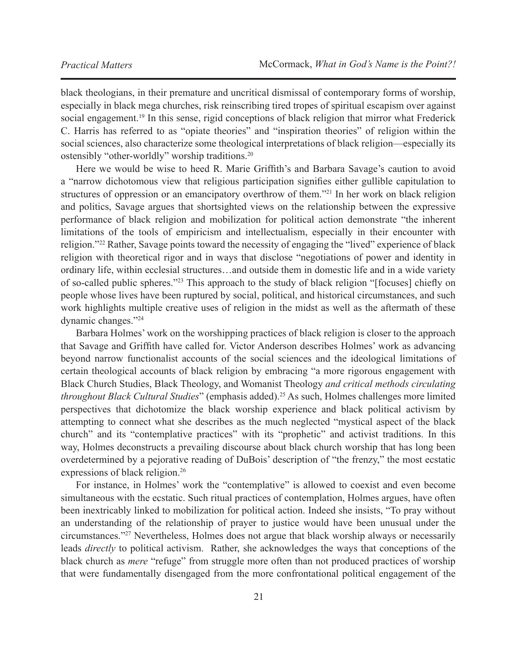black theologians, in their premature and uncritical dismissal of contemporary forms of worship, especially in black mega churches, risk reinscribing tired tropes of spiritual escapism over against social engagement.<sup>19</sup> In this sense, rigid conceptions of black religion that mirror what Frederick C. Harris has referred to as "opiate theories" and "inspiration theories" of religion within the social sciences, also characterize some theological interpretations of black religion—especially its ostensibly "other-worldly" worship traditions.<sup>20</sup>

Here we would be wise to heed R. Marie Griffith's and Barbara Savage's caution to avoid a "narrow dichotomous view that religious participation signifies either gullible capitulation to structures of oppression or an emancipatory overthrow of them."<sup>21</sup> In her work on black religion and politics, Savage argues that shortsighted views on the relationship between the expressive performance of black religion and mobilization for political action demonstrate "the inherent limitations of the tools of empiricism and intellectualism, especially in their encounter with religion."22 Rather, Savage points toward the necessity of engaging the "lived" experience of black religion with theoretical rigor and in ways that disclose "negotiations of power and identity in ordinary life, within ecclesial structures…and outside them in domestic life and in a wide variety of so-called public spheres."23 This approach to the study of black religion "[focuses] chiefly on people whose lives have been ruptured by social, political, and historical circumstances, and such work highlights multiple creative uses of religion in the midst as well as the aftermath of these dynamic changes."24

Barbara Holmes' work on the worshipping practices of black religion is closer to the approach that Savage and Griffith have called for. Victor Anderson describes Holmes' work as advancing beyond narrow functionalist accounts of the social sciences and the ideological limitations of certain theological accounts of black religion by embracing "a more rigorous engagement with Black Church Studies, Black Theology, and Womanist Theology *and critical methods circulating throughout Black Cultural Studies*" (emphasis added).<sup>25</sup> As such, Holmes challenges more limited perspectives that dichotomize the black worship experience and black political activism by attempting to connect what she describes as the much neglected "mystical aspect of the black church" and its "contemplative practices" with its "prophetic" and activist traditions. In this way, Holmes deconstructs a prevailing discourse about black church worship that has long been overdetermined by a pejorative reading of DuBois' description of "the frenzy," the most ecstatic expressions of black religion.<sup>26</sup>

For instance, in Holmes' work the "contemplative" is allowed to coexist and even become simultaneous with the ecstatic. Such ritual practices of contemplation, Holmes argues, have often been inextricably linked to mobilization for political action. Indeed she insists, "To pray without an understanding of the relationship of prayer to justice would have been unusual under the circumstances."27 Nevertheless, Holmes does not argue that black worship always or necessarily leads *directly* to political activism. Rather, she acknowledges the ways that conceptions of the black church as *mere* "refuge" from struggle more often than not produced practices of worship that were fundamentally disengaged from the more confrontational political engagement of the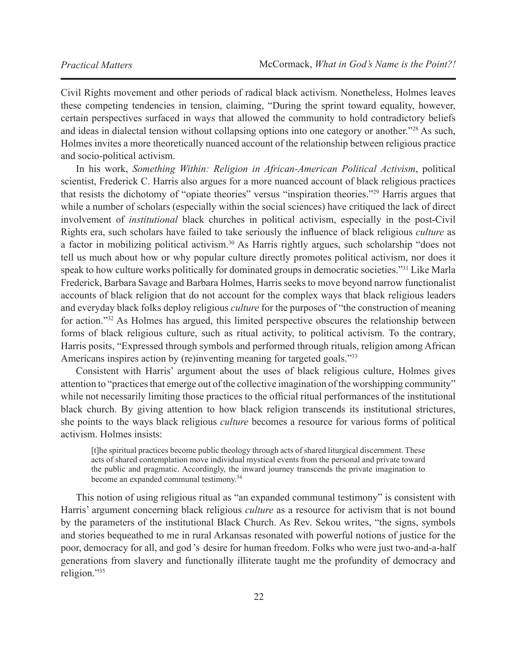Civil Rights movement and other periods of radical black activism. Nonetheless, Holmes leaves these competing tendencies in tension, claiming, "During the sprint toward equality, however, certain perspectives surfaced in ways that allowed the community to hold contradictory beliefs and ideas in dialectal tension without collapsing options into one category or another."<sup>28</sup> As such, Holmes invites a more theoretically nuanced account of the relationship between religious practice and socio-political activism.

In his work, *Something Within: Religion in African-American Political Activism*, political scientist, Frederick C. Harris also argues for a more nuanced account of black religious practices that resists the dichotomy of "opiate theories" versus "inspiration theories."29 Harris argues that while a number of scholars (especially within the social sciences) have critiqued the lack of direct involvement of *institutional* black churches in political activism, especially in the post-Civil Rights era, such scholars have failed to take seriously the influence of black religious *culture* as a factor in mobilizing political activism.<sup>30</sup> As Harris rightly argues, such scholarship "does not tell us much about how or why popular culture directly promotes political activism, nor does it speak to how culture works politically for dominated groups in democratic societies."31 Like Marla Frederick, Barbara Savage and Barbara Holmes, Harris seeks to move beyond narrow functionalist accounts of black religion that do not account for the complex ways that black religious leaders and everyday black folks deploy religious *culture* for the purposes of "the construction of meaning for action."32 As Holmes has argued, this limited perspective obscures the relationship between forms of black religious culture, such as ritual activity, to political activism. To the contrary, Harris posits, "Expressed through symbols and performed through rituals, religion among African Americans inspires action by (re)inventing meaning for targeted goals."<sup>33</sup>

Consistent with Harris' argument about the uses of black religious culture, Holmes gives attention to "practices that emerge out of the collective imagination of the worshipping community" while not necessarily limiting those practices to the official ritual performances of the institutional black church. By giving attention to how black religion transcends its institutional strictures, she points to the ways black religious *culture* becomes a resource for various forms of political activism. Holmes insists:

[t]he spiritual practices become public theology through acts of shared liturgical discernment. These acts of shared contemplation move individual mystical events from the personal and private toward the public and pragmatic. Accordingly, the inward journey transcends the private imagination to become an expanded communal testimony.<sup>34</sup>

This notion of using religious ritual as "an expanded communal testimony" is consistent with Harris' argument concerning black religious *culture* as a resource for activism that is not bound by the parameters of the institutional Black Church. As Rev. Sekou writes, "the signs, symbols and stories bequeathed to me in rural Arkansas resonated with powerful notions of justice for the poor, democracy for all, and god 's desire for human freedom. Folks who were just two-and-a-half generations from slavery and functionally illiterate taught me the profundity of democracy and religion."35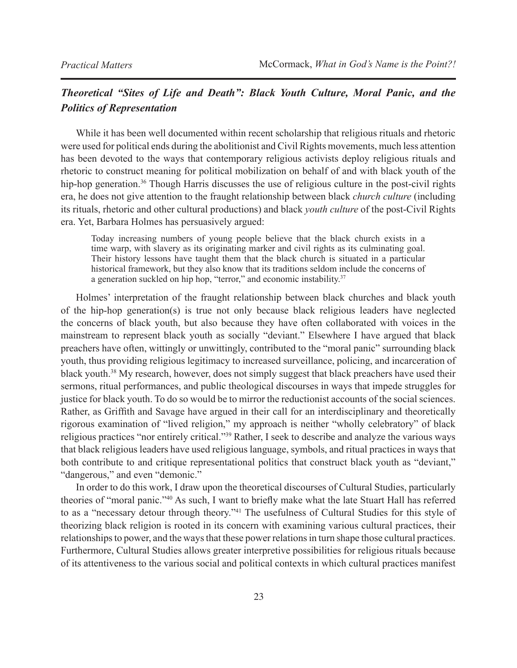## *Theoretical "Sites of Life and Death": Black Youth Culture, Moral Panic, and the Politics of Representation*

While it has been well documented within recent scholarship that religious rituals and rhetoric were used for political ends during the abolitionist and Civil Rights movements, much less attention has been devoted to the ways that contemporary religious activists deploy religious rituals and rhetoric to construct meaning for political mobilization on behalf of and with black youth of the hip-hop generation.<sup>36</sup> Though Harris discusses the use of religious culture in the post-civil rights era, he does not give attention to the fraught relationship between black *church culture* (including its rituals, rhetoric and other cultural productions) and black *youth culture* of the post-Civil Rights era. Yet, Barbara Holmes has persuasively argued:

Today increasing numbers of young people believe that the black church exists in a time warp, with slavery as its originating marker and civil rights as its culminating goal. Their history lessons have taught them that the black church is situated in a particular historical framework, but they also know that its traditions seldom include the concerns of a generation suckled on hip hop, "terror," and economic instability.<sup>37</sup>

Holmes' interpretation of the fraught relationship between black churches and black youth of the hip-hop generation(s) is true not only because black religious leaders have neglected the concerns of black youth, but also because they have often collaborated with voices in the mainstream to represent black youth as socially "deviant." Elsewhere I have argued that black preachers have often, wittingly or unwittingly, contributed to the "moral panic" surrounding black youth, thus providing religious legitimacy to increased surveillance, policing, and incarceration of black youth.38 My research, however, does not simply suggest that black preachers have used their sermons, ritual performances, and public theological discourses in ways that impede struggles for justice for black youth. To do so would be to mirror the reductionist accounts of the social sciences. Rather, as Griffith and Savage have argued in their call for an interdisciplinary and theoretically rigorous examination of "lived religion," my approach is neither "wholly celebratory" of black religious practices "nor entirely critical."39 Rather, I seek to describe and analyze the various ways that black religious leaders have used religious language, symbols, and ritual practices in ways that both contribute to and critique representational politics that construct black youth as "deviant," "dangerous," and even "demonic."

In order to do this work, I draw upon the theoretical discourses of Cultural Studies, particularly theories of "moral panic."40 As such, I want to briefly make what the late Stuart Hall has referred to as a "necessary detour through theory."<sup>41</sup> The usefulness of Cultural Studies for this style of theorizing black religion is rooted in its concern with examining various cultural practices, their relationships to power, and the ways that these power relations in turn shape those cultural practices. Furthermore, Cultural Studies allows greater interpretive possibilities for religious rituals because of its attentiveness to the various social and political contexts in which cultural practices manifest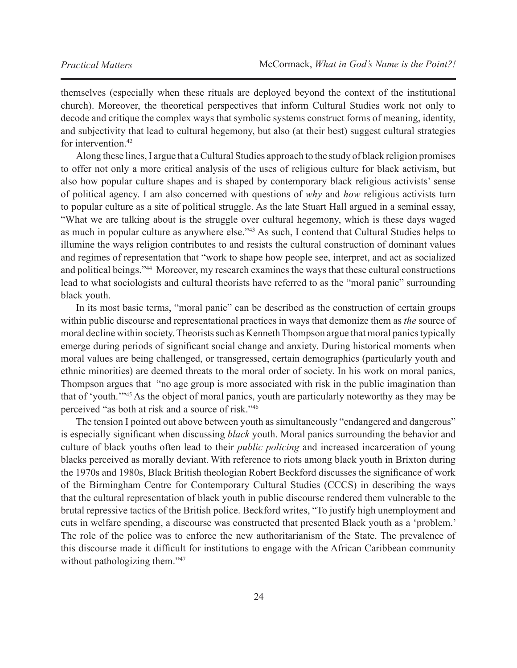themselves (especially when these rituals are deployed beyond the context of the institutional church). Moreover, the theoretical perspectives that inform Cultural Studies work not only to decode and critique the complex ways that symbolic systems construct forms of meaning, identity, and subjectivity that lead to cultural hegemony, but also (at their best) suggest cultural strategies for intervention.<sup>42</sup>

Along these lines, I argue that a Cultural Studies approach to the study of black religion promises to offer not only a more critical analysis of the uses of religious culture for black activism, but also how popular culture shapes and is shaped by contemporary black religious activists' sense of political agency. I am also concerned with questions of *why* and *how* religious activists turn to popular culture as a site of political struggle. As the late Stuart Hall argued in a seminal essay, "What we are talking about is the struggle over cultural hegemony, which is these days waged as much in popular culture as anywhere else."43 As such, I contend that Cultural Studies helps to illumine the ways religion contributes to and resists the cultural construction of dominant values and regimes of representation that "work to shape how people see, interpret, and act as socialized and political beings."44 Moreover, my research examines the ways that these cultural constructions lead to what sociologists and cultural theorists have referred to as the "moral panic" surrounding black youth.

In its most basic terms, "moral panic" can be described as the construction of certain groups within public discourse and representational practices in ways that demonize them as *the* source of moral decline within society. Theorists such as Kenneth Thompson argue that moral panics typically emerge during periods of significant social change and anxiety. During historical moments when moral values are being challenged, or transgressed, certain demographics (particularly youth and ethnic minorities) are deemed threats to the moral order of society. In his work on moral panics, Thompson argues that "no age group is more associated with risk in the public imagination than that of 'youth.'"45 As the object of moral panics, youth are particularly noteworthy as they may be perceived "as both at risk and a source of risk."46

The tension I pointed out above between youth as simultaneously "endangered and dangerous" is especially significant when discussing *black* youth. Moral panics surrounding the behavior and culture of black youths often lead to their *public policing* and increased incarceration of young blacks perceived as morally deviant. With reference to riots among black youth in Brixton during the 1970s and 1980s, Black British theologian Robert Beckford discusses the significance of work of the Birmingham Centre for Contemporary Cultural Studies (CCCS) in describing the ways that the cultural representation of black youth in public discourse rendered them vulnerable to the brutal repressive tactics of the British police. Beckford writes, "To justify high unemployment and cuts in welfare spending, a discourse was constructed that presented Black youth as a 'problem.' The role of the police was to enforce the new authoritarianism of the State. The prevalence of this discourse made it difficult for institutions to engage with the African Caribbean community without pathologizing them."<sup>47</sup>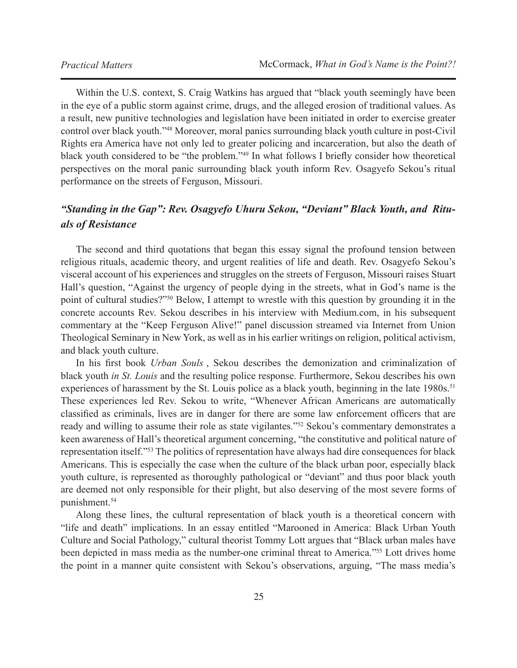#### *Practical Matters*

Within the U.S. context, S. Craig Watkins has argued that "black youth seemingly have been in the eye of a public storm against crime, drugs, and the alleged erosion of traditional values. As a result, new punitive technologies and legislation have been initiated in order to exercise greater control over black youth."48 Moreover, moral panics surrounding black youth culture in post-Civil Rights era America have not only led to greater policing and incarceration, but also the death of black youth considered to be "the problem."49 In what follows I briefly consider how theoretical perspectives on the moral panic surrounding black youth inform Rev. Osagyefo Sekou's ritual performance on the streets of Ferguson, Missouri.

## *"Standing in the Gap": Rev. Osagyefo Uhuru Sekou, "Deviant" Black Youth, and Rituals of Resistance*

The second and third quotations that began this essay signal the profound tension between religious rituals, academic theory, and urgent realities of life and death. Rev. Osagyefo Sekou's visceral account of his experiences and struggles on the streets of Ferguson, Missouri raises Stuart Hall's question, "Against the urgency of people dying in the streets, what in God's name is the point of cultural studies?"50 Below, I attempt to wrestle with this question by grounding it in the concrete accounts Rev. Sekou describes in his interview with Medium.com, in his subsequent commentary at the "Keep Ferguson Alive!" panel discussion streamed via Internet from Union Theological Seminary in New York, as well as in his earlier writings on religion, political activism, and black youth culture.

In his first book *Urban Souls* , Sekou describes the demonization and criminalization of black youth *in St. Louis* and the resulting police response. Furthermore, Sekou describes his own experiences of harassment by the St. Louis police as a black youth, beginning in the late 1980s.<sup>51</sup> These experiences led Rev. Sekou to write, "Whenever African Americans are automatically classified as criminals, lives are in danger for there are some law enforcement officers that are ready and willing to assume their role as state vigilantes."52 Sekou's commentary demonstrates a keen awareness of Hall's theoretical argument concerning, "the constitutive and political nature of representation itself."53 The politics of representation have always had dire consequences for black Americans. This is especially the case when the culture of the black urban poor, especially black youth culture, is represented as thoroughly pathological or "deviant" and thus poor black youth are deemed not only responsible for their plight, but also deserving of the most severe forms of punishment.<sup>54</sup>

Along these lines, the cultural representation of black youth is a theoretical concern with "life and death" implications. In an essay entitled "Marooned in America: Black Urban Youth Culture and Social Pathology," cultural theorist Tommy Lott argues that "Black urban males have been depicted in mass media as the number-one criminal threat to America."55 Lott drives home the point in a manner quite consistent with Sekou's observations, arguing, "The mass media's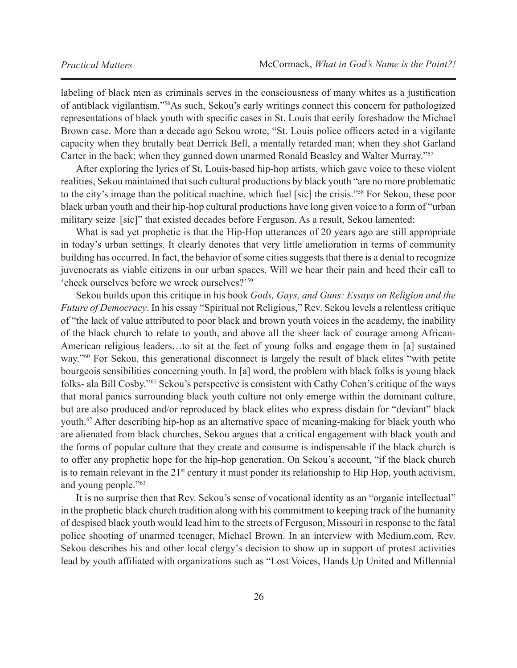labeling of black men as criminals serves in the consciousness of many whites as a justification of antiblack vigilantism."56As such, Sekou's early writings connect this concern for pathologized representations of black youth with specific cases in St. Louis that eerily foreshadow the Michael Brown case. More than a decade ago Sekou wrote, "St. Louis police officers acted in a vigilante capacity when they brutally beat Derrick Bell, a mentally retarded man; when they shot Garland Carter in the back; when they gunned down unarmed Ronald Beasley and Walter Murray."57

After exploring the lyrics of St. Louis-based hip-hop artists, which gave voice to these violent realities, Sekou maintained that such cultural productions by black youth "are no more problematic to the city's image than the political machine, which fuel [sic] the crisis."58 For Sekou, these poor black urban youth and their hip-hop cultural productions have long given voice to a form of "urban military seize [sic]" that existed decades before Ferguson. As a result, Sekou lamented:

What is sad yet prophetic is that the Hip-Hop utterances of 20 years ago are still appropriate in today's urban settings. It clearly denotes that very little amelioration in terms of community building has occurred. In fact, the behavior of some cities suggests that there is a denial to recognize juvenocrats as viable citizens in our urban spaces. Will we hear their pain and heed their call to 'check ourselves before we wreck ourselves?'59

Sekou builds upon this critique in his book *Gods, Gays, and Guns: Essays on Religion and the Future of Democracy*. In his essay "Spiritual not Religious," Rev. Sekou levels a relentless critique of "the lack of value attributed to poor black and brown youth voices in the academy, the inability of the black church to relate to youth, and above all the sheer lack of courage among African-American religious leaders…to sit at the feet of young folks and engage them in [a] sustained way."<sup>60</sup> For Sekou, this generational disconnect is largely the result of black elites "with petite bourgeois sensibilities concerning youth. In [a] word, the problem with black folks is young black folks- ala Bill Cosby."61 Sekou's perspective is consistent with Cathy Cohen's critique of the ways that moral panics surrounding black youth culture not only emerge within the dominant culture, but are also produced and/or reproduced by black elites who express disdain for "deviant" black youth.62 After describing hip-hop as an alternative space of meaning-making for black youth who are alienated from black churches, Sekou argues that a critical engagement with black youth and the forms of popular culture that they create and consume is indispensable if the black church is to offer any prophetic hope for the hip-hop generation. On Sekou's account, "if the black church is to remain relevant in the 21<sup>st</sup> century it must ponder its relationship to Hip Hop, youth activism, and young people."63

It is no surprise then that Rev. Sekou's sense of vocational identity as an "organic intellectual" in the prophetic black church tradition along with his commitment to keeping track of the humanity of despised black youth would lead him to the streets of Ferguson, Missouri in response to the fatal police shooting of unarmed teenager, Michael Brown. In an interview with Medium.com, Rev. Sekou describes his and other local clergy's decision to show up in support of protest activities lead by youth affiliated with organizations such as "Lost Voices, Hands Up United and Millennial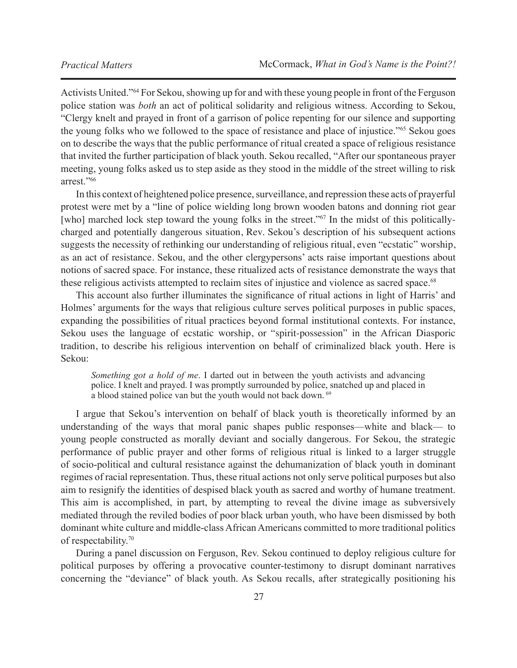Activists United."64 For Sekou, showing up for and with these young people in front of the Ferguson police station was *both* an act of political solidarity and religious witness. According to Sekou, "Clergy knelt and prayed in front of a garrison of police repenting for our silence and supporting the young folks who we followed to the space of resistance and place of injustice."65 Sekou goes on to describe the ways that the public performance of ritual created a space of religious resistance that invited the further participation of black youth. Sekou recalled, "After our spontaneous prayer meeting, young folks asked us to step aside as they stood in the middle of the street willing to risk arrest."66

In this context of heightened police presence, surveillance, and repression these acts of prayerful protest were met by a "line of police wielding long brown wooden batons and donning riot gear [who] marched lock step toward the young folks in the street."<sup>67</sup> In the midst of this politicallycharged and potentially dangerous situation, Rev. Sekou's description of his subsequent actions suggests the necessity of rethinking our understanding of religious ritual, even "ecstatic" worship, as an act of resistance. Sekou, and the other clergypersons' acts raise important questions about notions of sacred space. For instance, these ritualized acts of resistance demonstrate the ways that these religious activists attempted to reclaim sites of injustice and violence as sacred space.<sup>68</sup>

This account also further illuminates the significance of ritual actions in light of Harris' and Holmes' arguments for the ways that religious culture serves political purposes in public spaces, expanding the possibilities of ritual practices beyond formal institutional contexts. For instance, Sekou uses the language of ecstatic worship, or "spirit-possession" in the African Diasporic tradition, to describe his religious intervention on behalf of criminalized black youth. Here is Sekou:

*Something got a hold of me*. I darted out in between the youth activists and advancing police. I knelt and prayed. I was promptly surrounded by police, snatched up and placed in a blood stained police van but the youth would not back down. <sup>69</sup>

I argue that Sekou's intervention on behalf of black youth is theoretically informed by an understanding of the ways that moral panic shapes public responses—white and black— to young people constructed as morally deviant and socially dangerous. For Sekou, the strategic performance of public prayer and other forms of religious ritual is linked to a larger struggle of socio-political and cultural resistance against the dehumanization of black youth in dominant regimes of racial representation. Thus, these ritual actions not only serve political purposes but also aim to resignify the identities of despised black youth as sacred and worthy of humane treatment. This aim is accomplished, in part, by attempting to reveal the divine image as subversively mediated through the reviled bodies of poor black urban youth, who have been dismissed by both dominant white culture and middle-class African Americans committed to more traditional politics of respectability.70

During a panel discussion on Ferguson, Rev. Sekou continued to deploy religious culture for political purposes by offering a provocative counter-testimony to disrupt dominant narratives concerning the "deviance" of black youth. As Sekou recalls, after strategically positioning his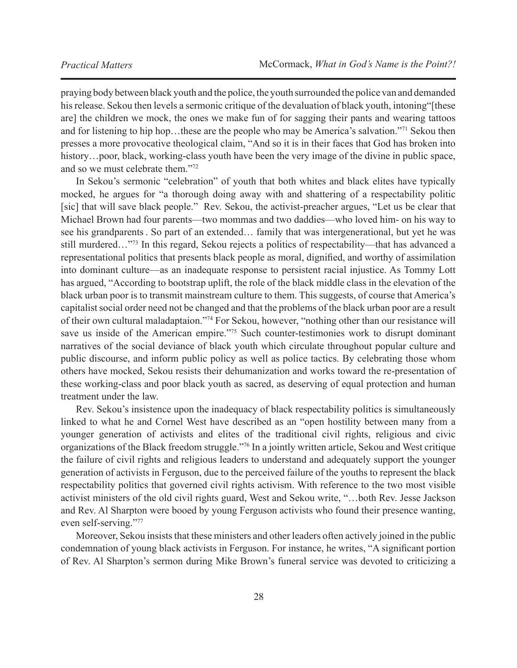praying body between black youth and the police, the youth surrounded the police van and demanded his release. Sekou then levels a sermonic critique of the devaluation of black youth, intoning"[these are] the children we mock, the ones we make fun of for sagging their pants and wearing tattoos and for listening to hip hop…these are the people who may be America's salvation."71 Sekou then presses a more provocative theological claim, "And so it is in their faces that God has broken into history...poor, black, working-class youth have been the very image of the divine in public space, and so we must celebrate them."72

In Sekou's sermonic "celebration" of youth that both whites and black elites have typically mocked, he argues for "a thorough doing away with and shattering of a respectability politic [sic] that will save black people." Rev. Sekou, the activist-preacher argues, "Let us be clear that Michael Brown had four parents—two mommas and two daddies—who loved him- on his way to see his grandparents. So part of an extended… family that was intergenerational, but yet he was still murdered…"73 In this regard, Sekou rejects a politics of respectability—that has advanced a representational politics that presents black people as moral, dignified, and worthy of assimilation into dominant culture—as an inadequate response to persistent racial injustice. As Tommy Lott has argued, "According to bootstrap uplift, the role of the black middle class in the elevation of the black urban poor is to transmit mainstream culture to them. This suggests, of course that America's capitalist social order need not be changed and that the problems of the black urban poor are a result of their own cultural maladaptaion."74 For Sekou, however, "nothing other than our resistance will save us inside of the American empire."<sup>75</sup> Such counter-testimonies work to disrupt dominant narratives of the social deviance of black youth which circulate throughout popular culture and public discourse, and inform public policy as well as police tactics. By celebrating those whom others have mocked, Sekou resists their dehumanization and works toward the re-presentation of these working-class and poor black youth as sacred, as deserving of equal protection and human treatment under the law.

Rev. Sekou's insistence upon the inadequacy of black respectability politics is simultaneously linked to what he and Cornel West have described as an "open hostility between many from a younger generation of activists and elites of the traditional civil rights, religious and civic organizations of the Black freedom struggle."76 In a jointly written article, Sekou and West critique the failure of civil rights and religious leaders to understand and adequately support the younger generation of activists in Ferguson, due to the perceived failure of the youths to represent the black respectability politics that governed civil rights activism. With reference to the two most visible activist ministers of the old civil rights guard, West and Sekou write, "…both Rev. Jesse Jackson and Rev. Al Sharpton were booed by young Ferguson activists who found their presence wanting, even self-serving."77

Moreover, Sekou insists that these ministers and other leaders often actively joined in the public condemnation of young black activists in Ferguson. For instance, he writes, "A significant portion of Rev. Al Sharpton's sermon during Mike Brown's funeral service was devoted to criticizing a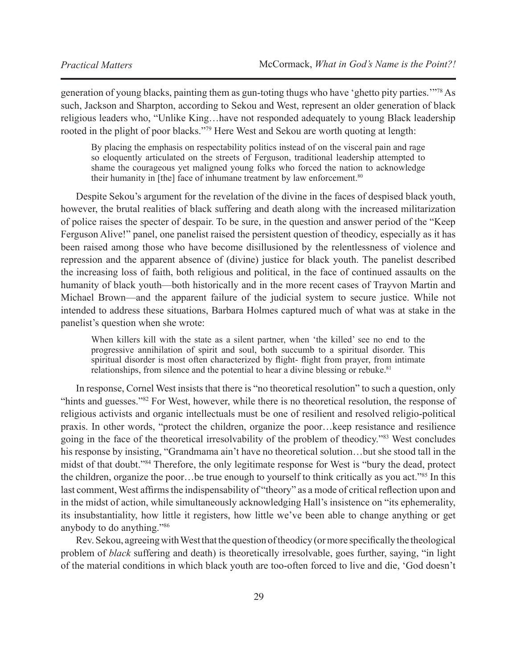generation of young blacks, painting them as gun-toting thugs who have 'ghetto pity parties.'"78 As such, Jackson and Sharpton, according to Sekou and West, represent an older generation of black religious leaders who, "Unlike King…have not responded adequately to young Black leadership rooted in the plight of poor blacks."79 Here West and Sekou are worth quoting at length:

By placing the emphasis on respectability politics instead of on the visceral pain and rage so eloquently articulated on the streets of Ferguson, traditional leadership attempted to shame the courageous yet maligned young folks who forced the nation to acknowledge their humanity in [the] face of inhumane treatment by law enforcement.<sup>80</sup>

Despite Sekou's argument for the revelation of the divine in the faces of despised black youth, however, the brutal realities of black suffering and death along with the increased militarization of police raises the specter of despair. To be sure, in the question and answer period of the "Keep Ferguson Alive!" panel, one panelist raised the persistent question of theodicy, especially as it has been raised among those who have become disillusioned by the relentlessness of violence and repression and the apparent absence of (divine) justice for black youth. The panelist described the increasing loss of faith, both religious and political, in the face of continued assaults on the humanity of black youth—both historically and in the more recent cases of Trayvon Martin and Michael Brown—and the apparent failure of the judicial system to secure justice. While not intended to address these situations, Barbara Holmes captured much of what was at stake in the panelist's question when she wrote:

When killers kill with the state as a silent partner, when 'the killed' see no end to the progressive annihilation of spirit and soul, both succumb to a spiritual disorder. This spiritual disorder is most often characterized by flight- flight from prayer, from intimate relationships, from silence and the potential to hear a divine blessing or rebuke.<sup>81</sup>

In response, Cornel West insists that there is "no theoretical resolution" to such a question, only "hints and guesses."82 For West, however, while there is no theoretical resolution, the response of religious activists and organic intellectuals must be one of resilient and resolved religio-political praxis. In other words, "protect the children, organize the poor…keep resistance and resilience going in the face of the theoretical irresolvability of the problem of theodicy."83 West concludes his response by insisting, "Grandmama ain't have no theoretical solution…but she stood tall in the midst of that doubt."84 Therefore, the only legitimate response for West is "bury the dead, protect the children, organize the poor…be true enough to yourself to think critically as you act."85 In this last comment, West affirms the indispensability of "theory" as a mode of critical reflection upon and in the midst of action, while simultaneously acknowledging Hall's insistence on "its ephemerality, its insubstantiality, how little it registers, how little we've been able to change anything or get anybody to do anything."86

Rev. Sekou, agreeing with West that the question of theodicy (or more specifically the theological problem of *black* suffering and death) is theoretically irresolvable, goes further, saying, "in light of the material conditions in which black youth are too-often forced to live and die, 'God doesn't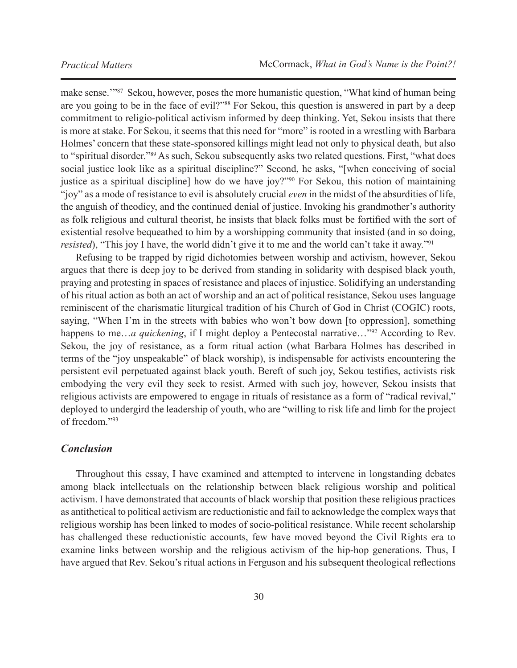make sense.'"87 Sekou, however, poses the more humanistic question, "What kind of human being are you going to be in the face of evil?"<sup>88</sup> For Sekou, this question is answered in part by a deep commitment to religio-political activism informed by deep thinking. Yet, Sekou insists that there is more at stake. For Sekou, it seems that this need for "more" is rooted in a wrestling with Barbara Holmes' concern that these state-sponsored killings might lead not only to physical death, but also to "spiritual disorder."89 As such, Sekou subsequently asks two related questions. First, "what does social justice look like as a spiritual discipline?" Second, he asks, "[when conceiving of social justice as a spiritual discipline] how do we have joy?"<sup>90</sup> For Sekou, this notion of maintaining "joy" as a mode of resistance to evil is absolutely crucial *even* in the midst of the absurdities of life, the anguish of theodicy, and the continued denial of justice. Invoking his grandmother's authority as folk religious and cultural theorist, he insists that black folks must be fortified with the sort of existential resolve bequeathed to him by a worshipping community that insisted (and in so doing, *resisted*), "This joy I have, the world didn't give it to me and the world can't take it away."91

Refusing to be trapped by rigid dichotomies between worship and activism, however, Sekou argues that there is deep joy to be derived from standing in solidarity with despised black youth, praying and protesting in spaces of resistance and places of injustice. Solidifying an understanding of his ritual action as both an act of worship and an act of political resistance, Sekou uses language reminiscent of the charismatic liturgical tradition of his Church of God in Christ (COGIC) roots, saying, "When I'm in the streets with babies who won't bow down [to oppression], something happens to me...*a quickening*, if I might deploy a Pentecostal narrative..."<sup>92</sup> According to Rev. Sekou, the joy of resistance, as a form ritual action (what Barbara Holmes has described in terms of the "joy unspeakable" of black worship), is indispensable for activists encountering the persistent evil perpetuated against black youth. Bereft of such joy, Sekou testifies, activists risk embodying the very evil they seek to resist. Armed with such joy, however, Sekou insists that religious activists are empowered to engage in rituals of resistance as a form of "radical revival," deployed to undergird the leadership of youth, who are "willing to risk life and limb for the project of freedom."93

#### *Conclusion*

Throughout this essay, I have examined and attempted to intervene in longstanding debates among black intellectuals on the relationship between black religious worship and political activism. I have demonstrated that accounts of black worship that position these religious practices as antithetical to political activism are reductionistic and fail to acknowledge the complex ways that religious worship has been linked to modes of socio-political resistance. While recent scholarship has challenged these reductionistic accounts, few have moved beyond the Civil Rights era to examine links between worship and the religious activism of the hip-hop generations. Thus, I have argued that Rev. Sekou's ritual actions in Ferguson and his subsequent theological reflections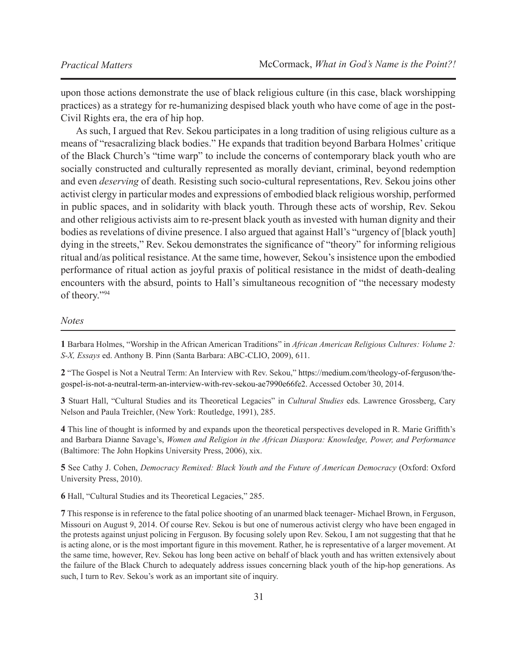upon those actions demonstrate the use of black religious culture (in this case, black worshipping practices) as a strategy for re-humanizing despised black youth who have come of age in the post-Civil Rights era, the era of hip hop.

As such, I argued that Rev. Sekou participates in a long tradition of using religious culture as a means of "resacralizing black bodies." He expands that tradition beyond Barbara Holmes' critique of the Black Church's "time warp" to include the concerns of contemporary black youth who are socially constructed and culturally represented as morally deviant, criminal, beyond redemption and even *deserving* of death. Resisting such socio-cultural representations, Rev. Sekou joins other activist clergy in particular modes and expressions of embodied black religious worship, performed in public spaces, and in solidarity with black youth. Through these acts of worship, Rev. Sekou and other religious activists aim to re-present black youth as invested with human dignity and their bodies as revelations of divine presence. I also argued that against Hall's "urgency of [black youth] dying in the streets," Rev. Sekou demonstrates the significance of "theory" for informing religious ritual and/as political resistance. At the same time, however, Sekou's insistence upon the embodied performance of ritual action as joyful praxis of political resistance in the midst of death-dealing encounters with the absurd, points to Hall's simultaneous recognition of "the necessary modesty of theory."94

#### *Notes*

**1** Barbara Holmes, "Worship in the African American Traditions" in *African American Religious Cultures: Volume 2: S-X, Essays* ed. Anthony B. Pinn (Santa Barbara: ABC-CLIO, 2009), 611.

**2** "The Gospel is Not a Neutral Term: An Interview with Rev. Sekou," https://medium.com/theology-of-ferguson/thegospel-is-not-a-neutral-term-an-interview-with-rev-sekou-ae7990e66fe2. Accessed October 30, 2014.

**3** Stuart Hall, "Cultural Studies and its Theoretical Legacies" in *Cultural Studies* eds. Lawrence Grossberg, Cary Nelson and Paula Treichler, (New York: Routledge, 1991), 285.

**4** This line of thought is informed by and expands upon the theoretical perspectives developed in R. Marie Griffith's and Barbara Dianne Savage's, *Women and Religion in the African Diaspora: Knowledge, Power, and Performance* (Baltimore: The John Hopkins University Press, 2006), xix.

**5** See Cathy J. Cohen, *Democracy Remixed: Black Youth and the Future of American Democracy* (Oxford: Oxford University Press, 2010).

**6** Hall, "Cultural Studies and its Theoretical Legacies," 285.

**7** This response is in reference to the fatal police shooting of an unarmed black teenager- Michael Brown, in Ferguson, Missouri on August 9, 2014. Of course Rev. Sekou is but one of numerous activist clergy who have been engaged in the protests against unjust policing in Ferguson. By focusing solely upon Rev. Sekou, I am not suggesting that that he is acting alone, or is the most important figure in this movement. Rather, he is representative of a larger movement. At the same time, however, Rev. Sekou has long been active on behalf of black youth and has written extensively about the failure of the Black Church to adequately address issues concerning black youth of the hip-hop generations. As such, I turn to Rev. Sekou's work as an important site of inquiry.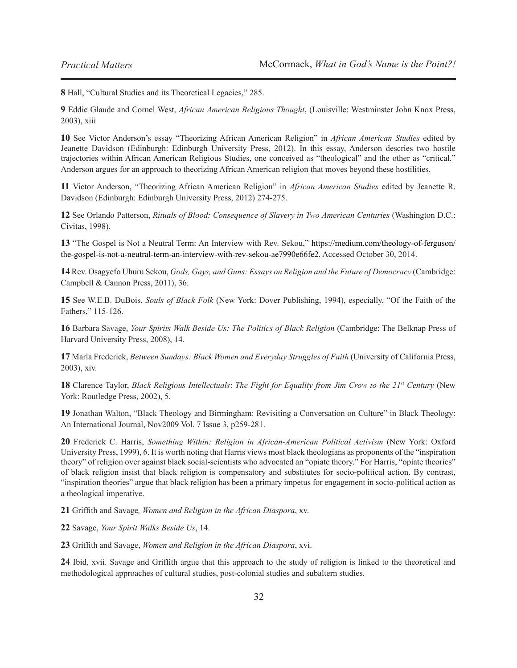**8** Hall, "Cultural Studies and its Theoretical Legacies," 285.

**9** Eddie Glaude and Cornel West, *African American Religious Thought*, (Louisville: Westminster John Knox Press, 2003), xiii

**10** See Victor Anderson's essay "Theorizing African American Religion" in *African American Studies* edited by Jeanette Davidson (Edinburgh: Edinburgh University Press, 2012). In this essay, Anderson descries two hostile trajectories within African American Religious Studies, one conceived as "theological" and the other as "critical." Anderson argues for an approach to theorizing African American religion that moves beyond these hostilities.

**11** Victor Anderson, "Theorizing African American Religion" in *African American Studies* edited by Jeanette R. Davidson (Edinburgh: Edinburgh University Press, 2012) 274-275.

**12** See Orlando Patterson, *Rituals of Blood: Consequence of Slavery in Two American Centuries* (Washington D.C.: Civitas, 1998).

**13** "The Gospel is Not a Neutral Term: An Interview with Rev. Sekou," https://medium.com/theology-of-ferguson/ the-gospel-is-not-a-neutral-term-an-interview-with-rev-sekou-ae7990e66fe2. Accessed October 30, 2014.

**14** Rev. Osagyefo Uhuru Sekou, *Gods, Gays, and Guns: Essays on Religion and the Future of Democracy* (Cambridge: Campbell & Cannon Press, 2011), 36.

**15** See W.E.B. DuBois, *Souls of Black Folk* (New York: Dover Publishing, 1994), especially, "Of the Faith of the Fathers," 115-126.

**16** Barbara Savage, *Your Spirits Walk Beside Us: The Politics of Black Religion* (Cambridge: The Belknap Press of Harvard University Press, 2008), 14.

**17** Marla Frederick, *Between Sundays: Black Women and Everyday Struggles of Faith* (University of California Press, 2003), xiv.

**18** Clarence Taylor, *Black Religious Intellectuals*: *The Fight for Equality from Jim Crow to the 21st Century* (New York: Routledge Press, 2002), 5.

**19** Jonathan Walton, "Black Theology and Birmingham: Revisiting a Conversation on Culture" in Black Theology: An International Journal, Nov2009 Vol. 7 Issue 3, p259-281.

**20**  Frederick C. Harris, *Something Within: Religion in African-American Political Activism* (New York: Oxford University Press, 1999), 6. It is worth noting that Harris views most black theologians as proponents of the "inspiration theory" of religion over against black social-scientists who advocated an "opiate theory." For Harris, "opiate theories" of black religion insist that black religion is compensatory and substitutes for socio-political action. By contrast, "inspiration theories" argue that black religion has been a primary impetus for engagement in socio-political action as a theological imperative.

**21** Griffith and Savage*, Women and Religion in the African Diaspora*, xv.

**22** Savage, *Your Spirit Walks Beside Us*, 14.

**23** Griffith and Savage, *Women and Religion in the African Diaspora*, xvi.

**24** Ibid, xvii. Savage and Griffith argue that this approach to the study of religion is linked to the theoretical and methodological approaches of cultural studies, post-colonial studies and subaltern studies.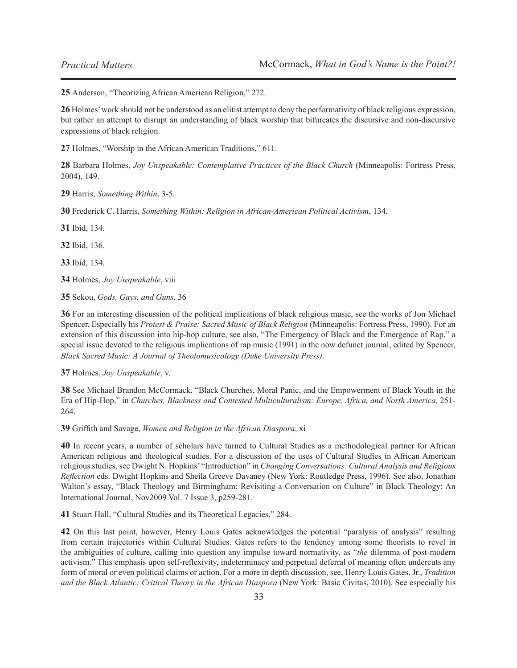**25** Anderson, "Theorizing African American Religion," 272.

26 Holmes' work should not be understood as an elitist attempt to deny the performativity of black religious expression, but rather an attempt to disrupt an understanding of black worship that bifurcates the discursive and non-discursive expressions of black religion.

27 Holmes, "Worship in the African American Traditions," 611.

**28** Barbara Holmes, *Joy Unspeakable: Contemplative Practices of the Black Church* (Minneapolis: Fortress Press, 2004), 149.

**29** Harris, *Something Within*, 3-5.

**30** Frederick C. Harris, *Something Within: Religion in African-American Political Activism*, 134.

**31** Ibid, 134.

**32** Ibid, 136.

**33** Ibid, 134.

**34** Holmes, *Joy Unspeakable*, viii

**35** Sekou, *Gods, Gays, and Guns*, 36

**36** For an interesting discussion of the political implications of black religious music, see the works of Jon Michael Spencer. Especially his *Protest & Praise: Sacred Music of Black Religion* (Minneapolis: Fortress Press, 1990). For an extension of this discussion into hip-hop culture, see also, "The Emergency of Black and the Emergence of Rap," a special issue devoted to the religious implications of rap music (1991) in the now defunct journal, edited by Spencer, *Black Sacred Music: A Journal of Theolomusicology (Duke University Press).* 

**37** Holmes, *Joy Unspeakable*, v.

**38** See Michael Brandon McCormack, "Black Churches, Moral Panic, and the Empowerment of Black Youth in the Era of Hip-Hop," in *Churches, Blackness and Contested Multiculturalism: Europe, Africa, and North America,* 251- 264.

**39** Griffith and Savage, *Women and Religion in the African Diaspora*, xi

**40** In recent years, a number of scholars have turned to Cultural Studies as a methodological partner for African American religious and theological studies. For a discussion of the uses of Cultural Studies in African American religious studies, see Dwight N. Hopkins' "Introduction" in *Changing Conversations: Cultural Analysis and Religious Reflection* eds. Dwight Hopkins and Sheila Greeve Davaney (New York: Routledge Press, 1996). See also, Jonathan Walton's essay, "Black Theology and Birmingham: Revisiting a Conversation on Culture" in Black Theology: An International Journal, Nov2009 Vol. 7 Issue 3, p259-281.

**41** Stuart Hall, "Cultural Studies and its Theoretical Legacies," 284.

**42** On this last point, however, Henry Louis Gates acknowledges the potential "paralysis of analysis" resulting from certain trajectories within Cultural Studies. Gates refers to the tendency among some theorists to revel in the ambiguities of culture, calling into question any impulse toward normativity, as "*the* dilemma of post-modern activism." This emphasis upon self-reflexivity, indeterminacy and perpetual deferral of meaning often undercuts any form of moral or even political claims or action. For a more in depth discussion, see, Henry Louis Gates, Jr., *Tradition and the Black Atlantic: Critical Theory in the African Diaspora* (New York: Basic Civitas, 2010). See especially his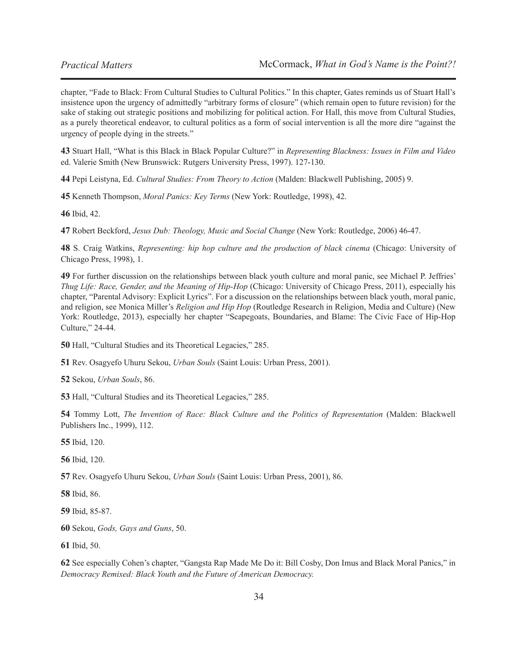chapter, "Fade to Black: From Cultural Studies to Cultural Politics." In this chapter, Gates reminds us of Stuart Hall's insistence upon the urgency of admittedly "arbitrary forms of closure" (which remain open to future revision) for the sake of staking out strategic positions and mobilizing for political action. For Hall, this move from Cultural Studies, as a purely theoretical endeavor, to cultural politics as a form of social intervention is all the more dire "against the urgency of people dying in the streets."

**43** Stuart Hall, "What is this Black in Black Popular Culture?" in *Representing Blackness: Issues in Film and Video* ed. Valerie Smith (New Brunswick: Rutgers University Press, 1997). 127-130.

**44** Pepi Leistyna, Ed. *Cultural Studies: From Theory to Action* (Malden: Blackwell Publishing, 2005) 9.

**45** Kenneth Thompson, *Moral Panics: Key Terms* (New York: Routledge, 1998), 42.

**46** Ibid, 42.

**47** Robert Beckford, *Jesus Dub: Theology, Music and Social Change* (New York: Routledge, 2006) 46-47.

**48** S. Craig Watkins, *Representing: hip hop culture and the production of black cinema* (Chicago: University of Chicago Press, 1998), 1.

**49** For further discussion on the relationships between black youth culture and moral panic, see Michael P. Jeffries' *Thug Life: Race, Gender, and the Meaning of Hip-Hop* (Chicago: University of Chicago Press, 2011), especially his chapter, "Parental Advisory: Explicit Lyrics". For a discussion on the relationships between black youth, moral panic, and religion, see Monica Miller's *Religion and Hip Hop* (Routledge Research in Religion, Media and Culture) (New York: Routledge, 2013), especially her chapter "Scapegoats, Boundaries, and Blame: The Civic Face of Hip-Hop Culture," 24-44.

**50** Hall, "Cultural Studies and its Theoretical Legacies," 285.

**51** Rev. Osagyefo Uhuru Sekou, *Urban Souls* (Saint Louis: Urban Press, 2001).

**52** Sekou, *Urban Souls*, 86.

**53** Hall, "Cultural Studies and its Theoretical Legacies," 285.

**54**  Tommy Lott, *The Invention of Race: Black Culture and the Politics of Representation* (Malden: Blackwell Publishers Inc., 1999), 112.

**55** Ibid, 120.

**56** Ibid, 120.

**57** Rev. Osagyefo Uhuru Sekou, *Urban Souls* (Saint Louis: Urban Press, 2001), 86.

**58** Ibid, 86.

**59** Ibid, 85-87.

**60** Sekou, *Gods, Gays and Guns*, 50.

**61** Ibid, 50.

**62** See especially Cohen's chapter, "Gangsta Rap Made Me Do it: Bill Cosby, Don Imus and Black Moral Panics," in *Democracy Remixed: Black Youth and the Future of American Democracy.*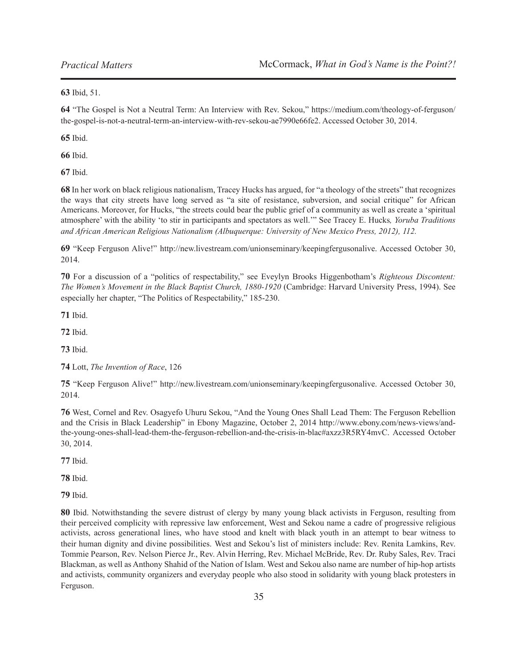**63** Ibid, 51.

**64** "The Gospel is Not a Neutral Term: An Interview with Rev. Sekou," https://medium.com/theology-of-ferguson/ the-gospel-is-not-a-neutral-term-an-interview-with-rev-sekou-ae7990e66fe2. Accessed October 30, 2014.

**65** Ibid.

**66** Ibid.

**67** Ibid.

**68** In her work on black religious nationalism, Tracey Hucks has argued, for "a theology of the streets" that recognizes the ways that city streets have long served as "a site of resistance, subversion, and social critique" for African Americans. Moreover, for Hucks, "the streets could bear the public grief of a community as well as create a 'spiritual atmosphere' with the ability 'to stir in participants and spectators as well.'" See Tracey E. Hucks*, Yoruba Traditions and African American Religious Nationalism (Albuquerque: University of New Mexico Press, 2012), 112.* 

**69** "Keep Ferguson Alive!" http://new.livestream.com/unionseminary/keepingfergusonalive. Accessed October 30, 2014.

**70** For a discussion of a "politics of respectability," see Eveylyn Brooks Higgenbotham's *Righteous Discontent: The Women's Movement in the Black Baptist Church, 1880-1920* (Cambridge: Harvard University Press, 1994). See especially her chapter, "The Politics of Respectability," 185-230.

**71** Ibid.

**72** Ibid.

**73** Ibid.

**74** Lott, *The Invention of Race*, 126

**75** "Keep Ferguson Alive!" http://new.livestream.com/unionseminary/keepingfergusonalive. Accessed October 30, 2014.

**76** West, Cornel and Rev. Osagyefo Uhuru Sekou, "And the Young Ones Shall Lead Them: The Ferguson Rebellion and the Crisis in Black Leadership" in Ebony Magazine, October 2, 2014 http://www.ebony.com/news-views/andthe-young-ones-shall-lead-them-the-ferguson-rebellion-and-the-crisis-in-blac#axzz3R5RY4mvC. Accessed October 30, 2014.

**77** Ibid.

**78** Ibid.

**79** Ibid.

**80** Ibid. Notwithstanding the severe distrust of clergy by many young black activists in Ferguson, resulting from their perceived complicity with repressive law enforcement, West and Sekou name a cadre of progressive religious activists, across generational lines, who have stood and knelt with black youth in an attempt to bear witness to their human dignity and divine possibilities. West and Sekou's list of ministers include: Rev. Renita Lamkins, Rev. Tommie Pearson, Rev. Nelson Pierce Jr., Rev. Alvin Herring, Rev. Michael McBride, Rev. Dr. Ruby Sales, Rev. Traci Blackman, as well as Anthony Shahid of the Nation of Islam. West and Sekou also name are number of hip-hop artists and activists, community organizers and everyday people who also stood in solidarity with young black protesters in Ferguson.